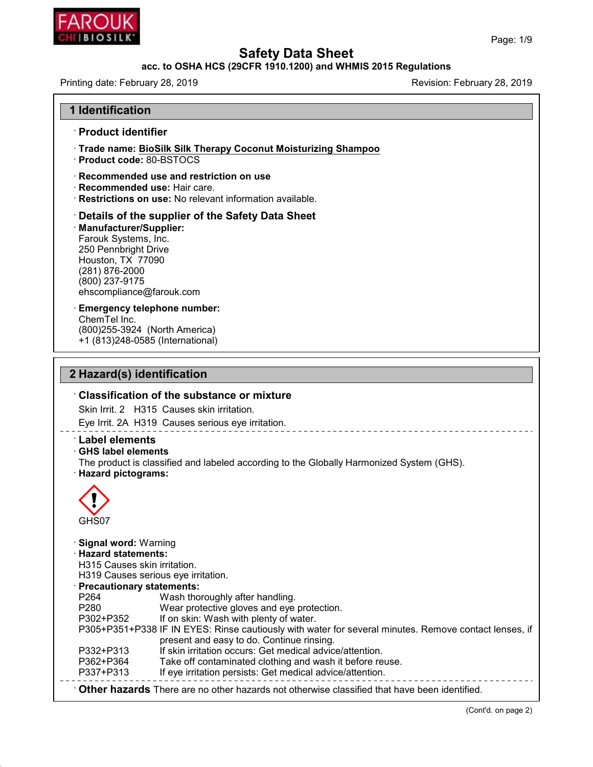

48.0

# **Safety Data Sheet<br>acc. to OSHA HCS (29CFR 1910.1200) and WHMIS 2015 Regulations<br>Revision: February 28, 2019**

| , , ,, , , , , ,<br>CHI BIOSILK*                                                                                                                                                                                              |                                                                                                                                                                                                                                                                                                                                                           | Page: 1/9                                                                                             |  |
|-------------------------------------------------------------------------------------------------------------------------------------------------------------------------------------------------------------------------------|-----------------------------------------------------------------------------------------------------------------------------------------------------------------------------------------------------------------------------------------------------------------------------------------------------------------------------------------------------------|-------------------------------------------------------------------------------------------------------|--|
| <b>Safety Data Sheet</b><br>acc. to OSHA HCS (29CFR 1910.1200) and WHMIS 2015 Regulations                                                                                                                                     |                                                                                                                                                                                                                                                                                                                                                           |                                                                                                       |  |
| Printing date: February 28, 2019                                                                                                                                                                                              |                                                                                                                                                                                                                                                                                                                                                           | Revision: February 28, 2019                                                                           |  |
|                                                                                                                                                                                                                               |                                                                                                                                                                                                                                                                                                                                                           |                                                                                                       |  |
| <b>1 Identification</b>                                                                                                                                                                                                       |                                                                                                                                                                                                                                                                                                                                                           |                                                                                                       |  |
| · Product identifier                                                                                                                                                                                                          |                                                                                                                                                                                                                                                                                                                                                           |                                                                                                       |  |
| · Product code: 80-BSTOCS                                                                                                                                                                                                     | <b>Trade name: BioSilk Silk Therapy Coconut Moisturizing Shampoo</b>                                                                                                                                                                                                                                                                                      |                                                                                                       |  |
| · Recommended use: Hair care.                                                                                                                                                                                                 | Recommended use and restriction on use<br>· Restrictions on use: No relevant information available.                                                                                                                                                                                                                                                       |                                                                                                       |  |
| Manufacturer/Supplier:<br>Farouk Systems, Inc.<br>250 Pennbright Drive<br>Houston, TX 77090<br>(281) 876-2000<br>(800) 237-9175<br>ehscompliance@farouk.com                                                                   | Details of the supplier of the Safety Data Sheet                                                                                                                                                                                                                                                                                                          |                                                                                                       |  |
| <b>Emergency telephone number:</b><br>ChemTel Inc.<br>(800) 255-3924 (North America)<br>+1 (813)248-0585 (International)                                                                                                      |                                                                                                                                                                                                                                                                                                                                                           |                                                                                                       |  |
| 2 Hazard(s) identification                                                                                                                                                                                                    |                                                                                                                                                                                                                                                                                                                                                           |                                                                                                       |  |
|                                                                                                                                                                                                                               | <b>Classification of the substance or mixture</b><br>Skin Irrit, 2 H315 Causes skin irritation.                                                                                                                                                                                                                                                           |                                                                                                       |  |
|                                                                                                                                                                                                                               | Eye Irrit. 2A H319 Causes serious eye irritation.                                                                                                                                                                                                                                                                                                         |                                                                                                       |  |
| <b>Label elements</b><br><b>GHS label elements</b><br>· Hazard pictograms:                                                                                                                                                    | The product is classified and labeled according to the Globally Harmonized System (GHS).                                                                                                                                                                                                                                                                  |                                                                                                       |  |
| GHS07                                                                                                                                                                                                                         |                                                                                                                                                                                                                                                                                                                                                           |                                                                                                       |  |
| <b>Signal word: Warning</b><br>· Hazard statements:<br>H315 Causes skin irritation.<br>H319 Causes serious eye irritation.<br>· Precautionary statements:<br>P264<br>P280<br>P302+P352<br>P332+P313<br>P362+P364<br>P337+P313 | Wash thoroughly after handling.<br>Wear protective gloves and eye protection.<br>If on skin: Wash with plenty of water.<br>present and easy to do. Continue rinsing.<br>If skin irritation occurs: Get medical advice/attention.<br>Take off contaminated clothing and wash it before reuse.<br>If eye irritation persists: Get medical advice/attention. | P305+P351+P338 IF IN EYES: Rinse cautiously with water for several minutes. Remove contact lenses, if |  |
|                                                                                                                                                                                                                               | Other hazards There are no other hazards not otherwise classified that have been identified.                                                                                                                                                                                                                                                              |                                                                                                       |  |
|                                                                                                                                                                                                                               |                                                                                                                                                                                                                                                                                                                                                           | (Cont'd. on page 2)                                                                                   |  |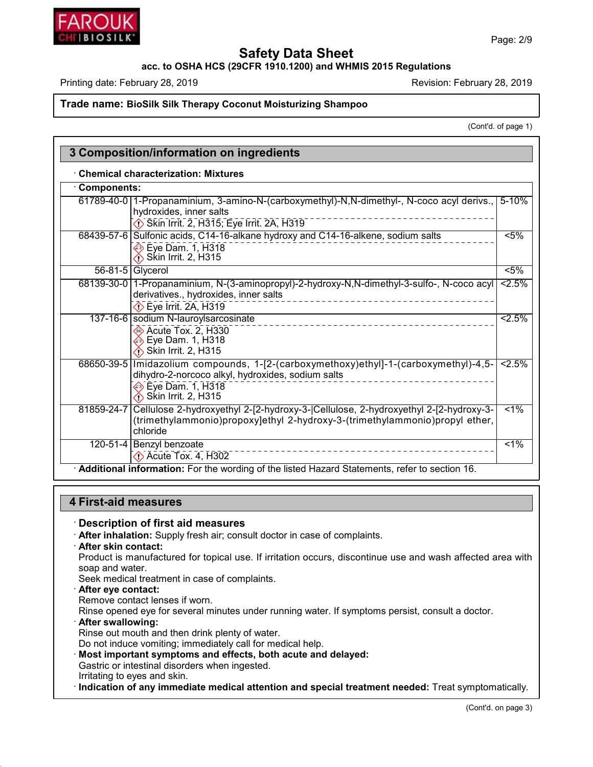

#### **acc. to OSHA HCS (29CFR 1910.1200) and WHMIS 2015 Regulations**

Printing date: February 28, 2019 **Printing date: February 28, 2019** Revision: February 28, 2019

#### **Trade name: BioSilk Silk Therapy Coconut Moisturizing Shampoo**

(Cont'd. of page 1)

| <b>Components:</b> |                                                                                                                                                                                           |                  |
|--------------------|-------------------------------------------------------------------------------------------------------------------------------------------------------------------------------------------|------------------|
|                    | 61789-40-0   1-Propanaminium, 3-amino-N-(carboxymethyl)-N,N-dimethyl-, N-coco acyl derivs.,                                                                                               | $5 - 10%$        |
|                    | hydroxides, inner salts                                                                                                                                                                   |                  |
|                    | Skin Irrit. 2, H315; Eye Irrit. 2A, H319                                                                                                                                                  |                  |
|                    | 68439-57-6 Sulfonic acids, C14-16-alkane hydroxy and C14-16-alkene, sodium salts                                                                                                          | $\overline{5\%}$ |
|                    | $\ddot{\odot}$ Eye Dam. 1, H318<br><b>i</b> Skin Irrit. 2, H315                                                                                                                           |                  |
|                    | 56-81-5 Glycerol                                                                                                                                                                          | $5\%$            |
|                    | 68139-30-0   1-Propanaminium, N-(3-aminopropyl)-2-hydroxy-N,N-dimethyl-3-sulfo-, N-coco acyl<br>derivatives., hydroxides, inner salts<br>$\overline{\langle \rangle}$ Eye Irrit. 2A, H319 | 2.5%             |
|                    | 137-16-6 sodium N-lauroylsarcosinate                                                                                                                                                      | 2.5%             |
|                    | Acute Tox. 2, H330<br>ies Eye Dam. 1, H318<br>$\diamondsuit$ Skin Irrit. 2, H315                                                                                                          |                  |
|                    | 68650-39-5   Imidazolium compounds, 1-[2-(carboxymethoxy)ethyl]-1-(carboxymethyl)-4,5-<br>dihydro-2-norcoco alkyl, hydroxides, sodium salts                                               | 2.5%             |
|                    | $\overline{\textcolor{blue}{\bigcirc}}$ Eye Dam. 1, H318<br><b>i</b> Skin Irrit. 2, H315                                                                                                  |                  |
|                    | 81859-24-7 Cellulose 2-hydroxyethyl 2-[2-hydroxy-3- Cellulose, 2-hydroxyethyl 2-[2-hydroxy-3-<br>(trimethylammonio)propoxy]ethyl 2-hydroxy-3-(trimethylammonio)propyl ether,<br>chloride  | $1\%$            |
|                    | 120-51-4 Benzyl benzoate<br>Acute Tox. 4, H302                                                                                                                                            | $1\%$            |

# **4 First-aid measures**

· **Description of first aid measures** · **After inhalation:** Supply fresh air; consult doctor in case of complaints.

#### · **After skin contact:**

Product is manufactured for topical use. If irritation occurs, discontinue use and wash affected area with soap and water.

Seek medical treatment in case of complaints.

- · **After eye contact:**
- Remove contact lenses if worn.

Rinse opened eye for several minutes under running water. If symptoms persist, consult a doctor.

· **After swallowing:**

48.0

Rinse out mouth and then drink plenty of water.

Do not induce vomiting; immediately call for medical help.

· **Most important symptoms and effects, both acute and delayed:**

Gastric or intestinal disorders when ingested.

Irritating to eyes and skin.

· **Indication of any immediate medical attention and special treatment needed:** Treat symptomatically.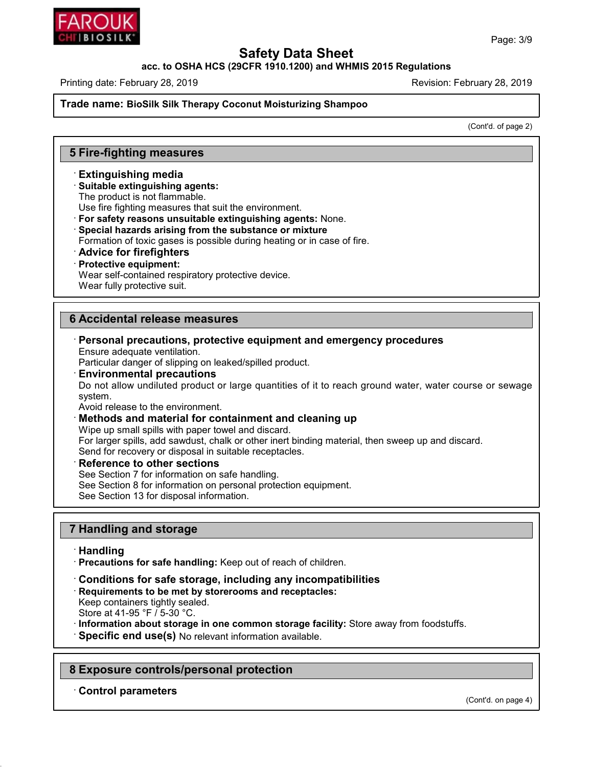

#### **acc. to OSHA HCS (29CFR 1910.1200) and WHMIS 2015 Regulations**

Printing date: February 28, 2019 **Printing date: February 28, 2019** Revision: February 28, 2019

**Trade name: BioSilk Silk Therapy Coconut Moisturizing Shampoo**

(Cont'd. of page 2)

# **5 Fire-fighting measures**

#### · **Extinguishing media**

#### · **Suitable extinguishing agents:**

The product is not flammable.

Use fire fighting measures that suit the environment.

· **For safety reasons unsuitable extinguishing agents:** None.

· **Special hazards arising from the substance or mixture**

Formation of toxic gases is possible during heating or in case of fire.

- · **Advice for firefighters**
- · **Protective equipment:**

Wear self-contained respiratory protective device.

Wear fully protective suit.

# **6 Accidental release measures**

· **Personal precautions, protective equipment and emergency procedures** Ensure adequate ventilation.

Particular danger of slipping on leaked/spilled product.

· **Environmental precautions**

Do not allow undiluted product or large quantities of it to reach ground water, water course or sewage system.

Avoid release to the environment.

#### · **Methods and material for containment and cleaning up**

Wipe up small spills with paper towel and discard.

For larger spills, add sawdust, chalk or other inert binding material, then sweep up and discard. Send for recovery or disposal in suitable receptacles.

#### · **Reference to other sections**

See Section 7 for information on safe handling.

See Section 8 for information on personal protection equipment.

See Section 13 for disposal information.

# **7 Handling and storage**

#### · **Handling**

48.0

· **Precautions for safe handling:** Keep out of reach of children.

- · **Conditions for safe storage, including any incompatibilities**
- · **Requirements to be met by storerooms and receptacles:**

Keep containers tightly sealed. Store at 41-95 °F / 5-30 °C.

· **Information about storage in one common storage facility:** Store away from foodstuffs.

· **Specific end use(s)** No relevant information available.

# **8 Exposure controls/personal protection**

· **Control parameters**

(Cont'd. on page 4)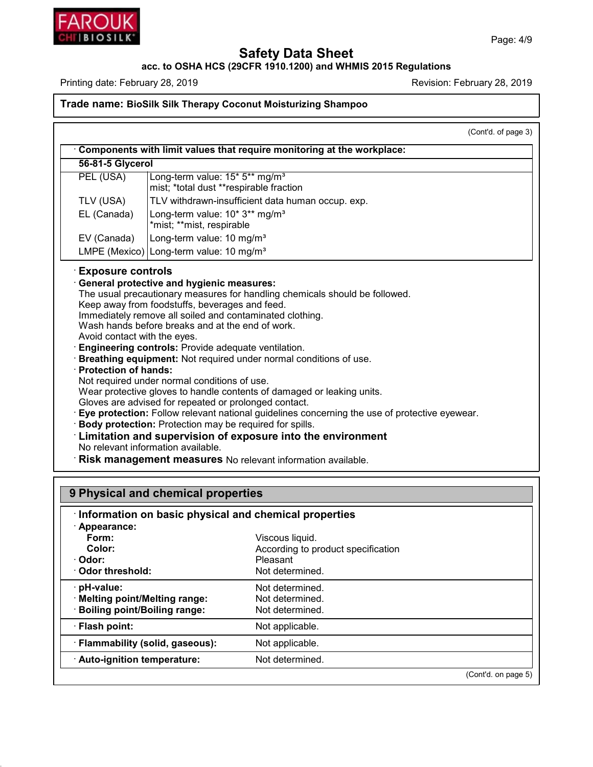

48.0

# **Safety Data Sheet**

**acc. to OSHA HCS (29CFR 1910.1200) and WHMIS 2015 Regulations**

Printing date: February 28, 2019 **Printing date: February 28, 2019** Revision: February 28, 2019

# **Trade name: BioSilk Silk Therapy Coconut Moisturizing Shampoo**

|                                                             | (Cont'd. of page 3)                                                                                                                                                                                                                                                                                                                                                                                                                                                                                                                                                                                                                                                                                                                                                                                                                                                                          |
|-------------------------------------------------------------|----------------------------------------------------------------------------------------------------------------------------------------------------------------------------------------------------------------------------------------------------------------------------------------------------------------------------------------------------------------------------------------------------------------------------------------------------------------------------------------------------------------------------------------------------------------------------------------------------------------------------------------------------------------------------------------------------------------------------------------------------------------------------------------------------------------------------------------------------------------------------------------------|
|                                                             | Components with limit values that require monitoring at the workplace:                                                                                                                                                                                                                                                                                                                                                                                                                                                                                                                                                                                                                                                                                                                                                                                                                       |
| 56-81-5 Glycerol                                            |                                                                                                                                                                                                                                                                                                                                                                                                                                                                                                                                                                                                                                                                                                                                                                                                                                                                                              |
| PEL (USA)                                                   | Long-term value: 15* 5** mg/m <sup>3</sup><br>mist; *total dust **respirable fraction                                                                                                                                                                                                                                                                                                                                                                                                                                                                                                                                                                                                                                                                                                                                                                                                        |
| TLV (USA)                                                   | TLV withdrawn-insufficient data human occup. exp.                                                                                                                                                                                                                                                                                                                                                                                                                                                                                                                                                                                                                                                                                                                                                                                                                                            |
| EL (Canada)                                                 | Long-term value: 10* 3** mg/m <sup>3</sup><br>*mist; **mist, respirable                                                                                                                                                                                                                                                                                                                                                                                                                                                                                                                                                                                                                                                                                                                                                                                                                      |
| EV (Canada)                                                 | Long-term value: 10 mg/m <sup>3</sup>                                                                                                                                                                                                                                                                                                                                                                                                                                                                                                                                                                                                                                                                                                                                                                                                                                                        |
|                                                             | LMPE (Mexico) Long-term value: 10 mg/m <sup>3</sup>                                                                                                                                                                                                                                                                                                                                                                                                                                                                                                                                                                                                                                                                                                                                                                                                                                          |
| Avoid contact with the eyes.<br><b>Protection of hands:</b> | The usual precautionary measures for handling chemicals should be followed.<br>Keep away from foodstuffs, beverages and feed.<br>Immediately remove all soiled and contaminated clothing.<br>Wash hands before breaks and at the end of work.<br>Engineering controls: Provide adequate ventilation.<br>Breathing equipment: Not required under normal conditions of use.<br>Not required under normal conditions of use.<br>Wear protective gloves to handle contents of damaged or leaking units.<br>Gloves are advised for repeated or prolonged contact.<br>Eye protection: Follow relevant national guidelines concerning the use of protective eyewear.<br>Body protection: Protection may be required for spills.<br>Limitation and supervision of exposure into the environment<br>No relevant information available.<br>Risk management measures No relevant information available. |
|                                                             | 9 Physical and chemical properties                                                                                                                                                                                                                                                                                                                                                                                                                                                                                                                                                                                                                                                                                                                                                                                                                                                           |
|                                                             |                                                                                                                                                                                                                                                                                                                                                                                                                                                                                                                                                                                                                                                                                                                                                                                                                                                                                              |
| Appearance:                                                 | Information on basic physical and chemical properties                                                                                                                                                                                                                                                                                                                                                                                                                                                                                                                                                                                                                                                                                                                                                                                                                                        |
| $F_{\alpha r m}$                                            | <i>Miscous liquid</i>                                                                                                                                                                                                                                                                                                                                                                                                                                                                                                                                                                                                                                                                                                                                                                                                                                                                        |

| Form:<br>Color:<br>· Odor:<br>Odor threshold:                                         | Viscous liquid.<br>According to product specification<br>Pleasant<br>Not determined. |  |
|---------------------------------------------------------------------------------------|--------------------------------------------------------------------------------------|--|
| $\cdot$ pH-value:<br>· Melting point/Melting range:<br>· Boiling point/Boiling range: | Not determined.<br>Not determined.<br>Not determined.                                |  |
| · Flash point:                                                                        | Not applicable.                                                                      |  |
| · Flammability (solid, gaseous):                                                      | Not applicable.                                                                      |  |
| · Auto-ignition temperature:                                                          | Not determined.                                                                      |  |
|                                                                                       | (Cont'd. on page 5)                                                                  |  |

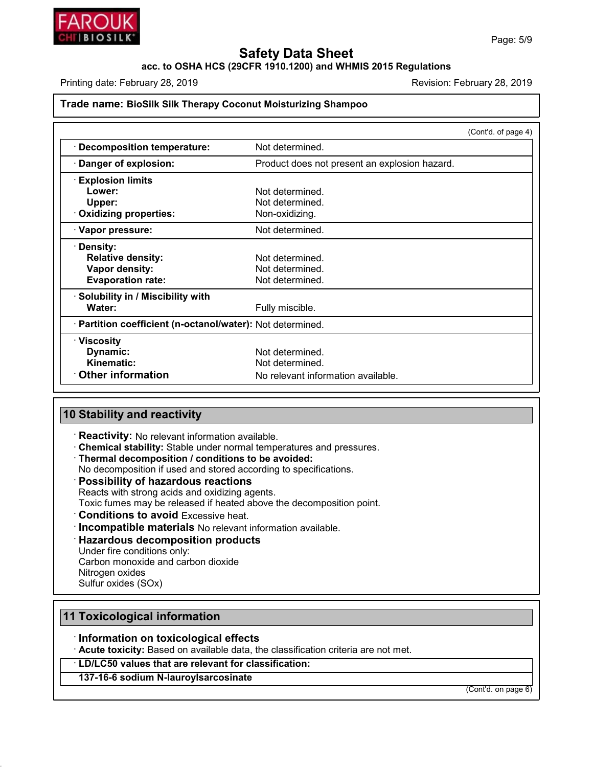

**acc. to OSHA HCS (29CFR 1910.1200) and WHMIS 2015 Regulations**

Printing date: February 28, 2019 **Printing date: February 28, 2019** Revision: February 28, 2019

#### **Trade name: BioSilk Silk Therapy Coconut Moisturizing Shampoo**

|                                                            | (Cont'd. of page 4)                           |
|------------------------------------------------------------|-----------------------------------------------|
| <b>Decomposition temperature:</b>                          | Not determined.                               |
| Danger of explosion:                                       | Product does not present an explosion hazard. |
| <b>Explosion limits</b>                                    |                                               |
| Lower:                                                     | Not determined.                               |
| Upper:                                                     | Not determined.                               |
| <b>Oxidizing properties:</b>                               | Non-oxidizing.                                |
| · Vapor pressure:                                          | Not determined.                               |
| · Density:                                                 |                                               |
| <b>Relative density:</b>                                   | Not determined.                               |
| Vapor density:                                             | Not determined.                               |
| <b>Evaporation rate:</b>                                   | Not determined.                               |
| · Solubility in / Miscibility with                         |                                               |
| Water:                                                     | Fully miscible.                               |
| · Partition coefficient (n-octanol/water): Not determined. |                                               |
| $\cdot$ Viscosity                                          |                                               |
| Dynamic:                                                   | Not determined.                               |
| Kinematic:                                                 | Not determined.                               |
| <b>Other information</b>                                   | No relevant information available.            |

# **10 Stability and reactivity**

· **Reactivity:** No relevant information available.

· **Chemical stability:** Stable under normal temperatures and pressures.

· **Thermal decomposition / conditions to be avoided:**

No decomposition if used and stored according to specifications.

# · **Possibility of hazardous reactions**

Reacts with strong acids and oxidizing agents.

Toxic fumes may be released if heated above the decomposition point.

- · **Conditions to avoid** Excessive heat.
- · **Incompatible materials** No relevant information available.

#### · **Hazardous decomposition products**

Under fire conditions only: Carbon monoxide and carbon dioxide

Nitrogen oxides

Sulfur oxides (SOx)

48.0

# **11 Toxicological information**

# · **Information on toxicological effects**

· **Acute toxicity:** Based on available data, the classification criteria are not met.

· **LD/LC50 values that are relevant for classification:**

# **137-16-6 sodium N-lauroylsarcosinate**

(Cont'd. on page 6)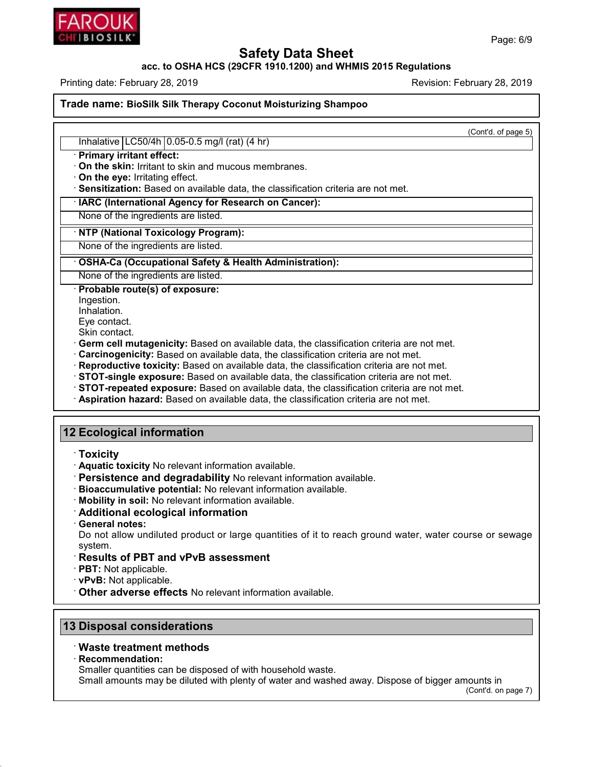

#### **acc. to OSHA HCS (29CFR 1910.1200) and WHMIS 2015 Regulations**

Printing date: February 28, 2019 **Printing date: February 28, 2019** Revision: February 28, 2019

**Trade name: BioSilk Silk Therapy Coconut Moisturizing Shampoo**

(Cont'd. of page 5)

Inhalative LC50/4h 0.05-0.5 mg/l (rat) (4 hr)

· **Primary irritant effect:**

· **On the skin:** Irritant to skin and mucous membranes.

· **On the eye:** Irritating effect.

· **Sensitization:** Based on available data, the classification criteria are not met.

· **IARC (International Agency for Research on Cancer):**

None of the ingredients are listed.

· **NTP (National Toxicology Program):**

None of the ingredients are listed.

#### · **OSHA-Ca (Occupational Safety & Health Administration):**

None of the ingredients are listed.

· **Probable route(s) of exposure:**

Ingestion.

Inhalation.

Eye contact.

Skin contact.

· **Germ cell mutagenicity:** Based on available data, the classification criteria are not met.

· **Carcinogenicity:** Based on available data, the classification criteria are not met.

· **Reproductive toxicity:** Based on available data, the classification criteria are not met.

· **STOT-single exposure:** Based on available data, the classification criteria are not met.

· **STOT-repeated exposure:** Based on available data, the classification criteria are not met.

· **Aspiration hazard:** Based on available data, the classification criteria are not met.

# **12 Ecological information**

- · **Toxicity**
- · **Aquatic toxicity** No relevant information available.
- · **Persistence and degradability** No relevant information available.
- · **Bioaccumulative potential:** No relevant information available.
- · **Mobility in soil:** No relevant information available.
- · **Additional ecological information**
- · **General notes:**

Do not allow undiluted product or large quantities of it to reach ground water, water course or sewage system.

# · **Results of PBT and vPvB assessment**

· **PBT:** Not applicable.

· **vPvB:** Not applicable.

· **Other adverse effects** No relevant information available.

# **13 Disposal considerations**

# · **Waste treatment methods**

· **Recommendation:**

48.0

Smaller quantities can be disposed of with household waste.

Small amounts may be diluted with plenty of water and washed away. Dispose of bigger amounts in

(Cont'd. on page 7)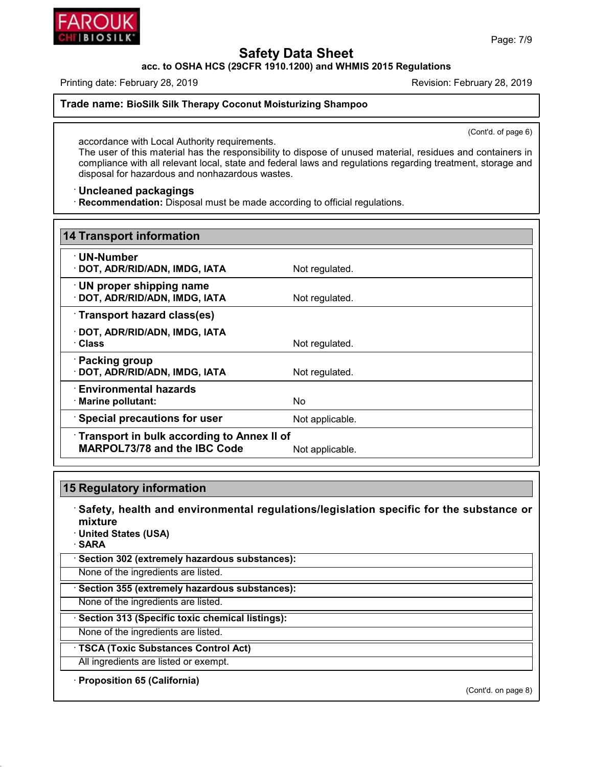

**acc. to OSHA HCS (29CFR 1910.1200) and WHMIS 2015 Regulations**

Printing date: February 28, 2019 **Printing date: February 28, 2019** Revision: February 28, 2019

**Trade name: BioSilk Silk Therapy Coconut Moisturizing Shampoo**

(Cont'd. of page 6)

accordance with Local Authority requirements. The user of this material has the responsibility to dispose of unused material, residues and containers in compliance with all relevant local, state and federal laws and regulations regarding treatment, storage and disposal for hazardous and nonhazardous wastes.

· **Uncleaned packagings**

· **Recommendation:** Disposal must be made according to official regulations.

| <b>14 Transport information</b>                                                                             |                 |  |
|-------------------------------------------------------------------------------------------------------------|-----------------|--|
| · UN-Number<br>DOT, ADR/RID/ADN, IMDG, IATA                                                                 | Not regulated.  |  |
| · UN proper shipping name<br>DOT, ADR/RID/ADN, IMDG, IATA                                                   | Not regulated.  |  |
| Transport hazard class(es)                                                                                  |                 |  |
| DOT, ADR/RID/ADN, IMDG, IATA<br>∙ Class                                                                     | Not regulated.  |  |
| Packing group<br>DOT, ADR/RID/ADN, IMDG, IATA                                                               | Not regulated.  |  |
| $\cdot$ Environmental hazards<br>· Marine pollutant:                                                        | No.             |  |
| Special precautions for user                                                                                | Not applicable. |  |
| <b>Transport in bulk according to Annex II of</b><br><b>MARPOL73/78 and the IBC Code</b><br>Not applicable. |                 |  |

# **15 Regulatory information**

- · **Safety, health and environmental regulations/legislation specific for the substance or mixture**
- · **United States (USA)**
- · **SARA**

48.0

· **Section 302 (extremely hazardous substances):**

None of the ingredients are listed.

· **Section 355 (extremely hazardous substances):**

None of the ingredients are listed.

· **Section 313 (Specific toxic chemical listings):**

None of the ingredients are listed.

· **TSCA (Toxic Substances Control Act)**

All ingredients are listed or exempt.

· **Proposition 65 (California)**

(Cont'd. on page 8)

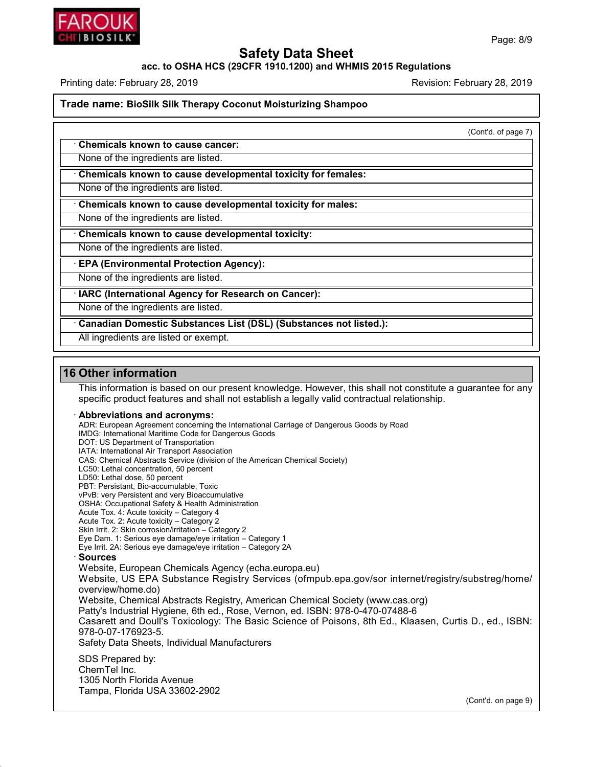

#### **acc. to OSHA HCS (29CFR 1910.1200) and WHMIS 2015 Regulations**

Printing date: February 28, 2019 **Printing date: February 28, 2019** Revision: February 28, 2019

**Trade name: BioSilk Silk Therapy Coconut Moisturizing Shampoo**

(Cont'd. of page 7)

· **Chemicals known to cause cancer:**

None of the ingredients are listed.

· **Chemicals known to cause developmental toxicity for females:**

None of the ingredients are listed.

· **Chemicals known to cause developmental toxicity for males:**

None of the ingredients are listed.

· **Chemicals known to cause developmental toxicity:**

None of the ingredients are listed.

· **EPA (Environmental Protection Agency):**

None of the ingredients are listed.

· **IARC (International Agency for Research on Cancer):**

None of the ingredients are listed.

· **Canadian Domestic Substances List (DSL) (Substances not listed.):**

All ingredients are listed or exempt.

# **16 Other information**

This information is based on our present knowledge. However, this shall not constitute a guarantee for any specific product features and shall not establish a legally valid contractual relationship.

#### · **Abbreviations and acronyms:**

ADR: European Agreement concerning the International Carriage of Dangerous Goods by Road IMDG: International Maritime Code for Dangerous Goods DOT: US Department of Transportation IATA: International Air Transport Association CAS: Chemical Abstracts Service (division of the American Chemical Society) LC50: Lethal concentration, 50 percent LD50: Lethal dose, 50 percent PBT: Persistant, Bio-accumulable, Toxic vPvB: very Persistent and very Bioaccumulative OSHA: Occupational Safety & Health Administration Acute Tox. 4: Acute toxicity – Category 4 Acute Tox. 2: Acute toxicity – Category 2 Skin Irrit. 2: Skin corrosion/irritation – Category 2 Eye Dam. 1: Serious eye damage/eye irritation – Category 1 Eye Irrit.2A: Serious eye damage/eye irritation – Category 2A · **Sources** Website, European Chemicals Agency (echa.europa.eu) Website, US EPA Substance Registry Services (ofmpub.epa.gov/sor internet/registry/substreg/home/ overview/home.do) Website, Chemical Abstracts Registry, American Chemical Society (www.cas.org) Patty's Industrial Hygiene, 6th ed., Rose, Vernon, ed. ISBN: 978-0-470-07488-6 Casarett and Doull's Toxicology: The Basic Science of Poisons, 8th Ed., Klaasen, Curtis D.,ed., ISBN: 978-0-07-176923-5. Safety Data Sheets, Individual Manufacturers SDS Prepared by: ChemTel Inc.

1305 North Florida Avenue Tampa, Florida USA 33602-2902

48.0

(Cont'd. on page 9)